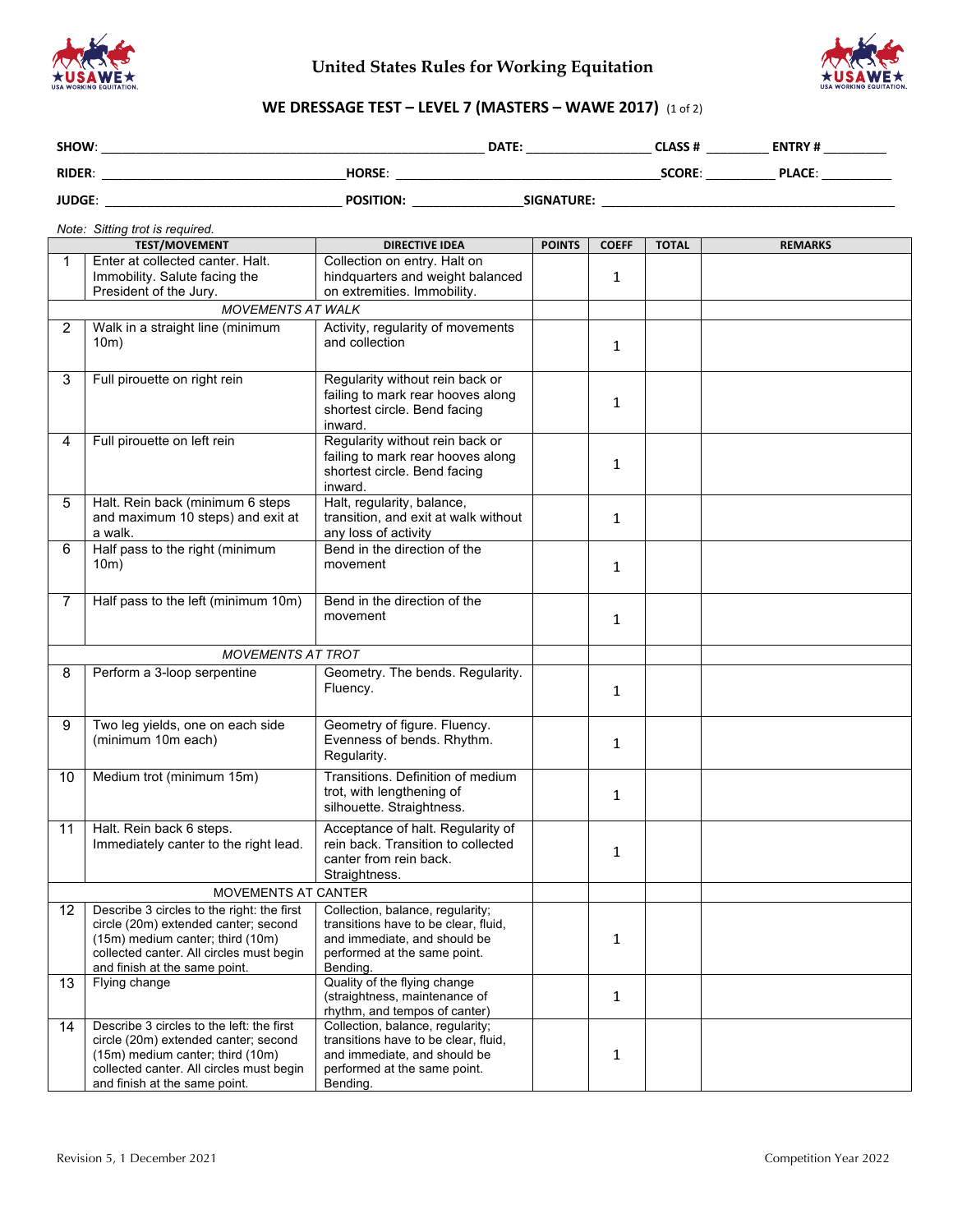



# **WE DRESSAGE TEST – LEVEL 7 (MASTERS – WAWE 2017)** (1 of 2)

| SHOW:         |                  | DATE:             | CLASS #       | <b>ENTRY#</b> |  |
|---------------|------------------|-------------------|---------------|---------------|--|
| <b>RIDER:</b> | <b>HORSE:</b>    |                   | <b>SCORE:</b> | <b>PLACE:</b> |  |
| <b>JUDGE:</b> | <b>POSITION:</b> | <b>SIGNATURE:</b> |               |               |  |

#### *Note: Sitting trot is required.*

| <b>TEST/MOVEMENT</b> |                                                                                                                                                                                                     | <b>DIRECTIVE IDEA</b>                                                                                                                                | <b>POINTS</b> | <b>COEFF</b> | <b>TOTAL</b> | <b>REMARKS</b> |
|----------------------|-----------------------------------------------------------------------------------------------------------------------------------------------------------------------------------------------------|------------------------------------------------------------------------------------------------------------------------------------------------------|---------------|--------------|--------------|----------------|
| 1                    | Enter at collected canter. Halt.<br>Immobility. Salute facing the<br>President of the Jury.                                                                                                         | Collection on entry. Halt on<br>hindquarters and weight balanced<br>on extremities. Immobility.                                                      |               | 1            |              |                |
|                      | <b>MOVEMENTS AT WALK</b>                                                                                                                                                                            |                                                                                                                                                      |               |              |              |                |
| 2                    | Walk in a straight line (minimum<br>10m)                                                                                                                                                            | Activity, regularity of movements<br>and collection                                                                                                  |               | 1            |              |                |
| 3                    | Full pirouette on right rein                                                                                                                                                                        | Regularity without rein back or<br>failing to mark rear hooves along<br>shortest circle. Bend facing<br>inward.                                      |               | 1            |              |                |
| 4                    | Full pirouette on left rein                                                                                                                                                                         | Regularity without rein back or<br>failing to mark rear hooves along<br>shortest circle. Bend facing<br>inward.                                      |               | 1            |              |                |
| 5                    | Halt. Rein back (minimum 6 steps<br>and maximum 10 steps) and exit at<br>a walk.                                                                                                                    | Halt, regularity, balance,<br>transition, and exit at walk without<br>any loss of activity                                                           |               | $\mathbf{1}$ |              |                |
| 6                    | Half pass to the right (minimum<br>10m)                                                                                                                                                             | Bend in the direction of the<br>movement                                                                                                             |               | 1            |              |                |
| 7                    | Half pass to the left (minimum 10m)                                                                                                                                                                 | Bend in the direction of the<br>movement                                                                                                             |               | $\mathbf{1}$ |              |                |
|                      | <b>MOVEMENTS AT TROT</b>                                                                                                                                                                            |                                                                                                                                                      |               |              |              |                |
| 8                    | Perform a 3-loop serpentine                                                                                                                                                                         | Geometry. The bends. Regularity.<br>Fluency.                                                                                                         |               | $\mathbf{1}$ |              |                |
| 9                    | Two leg yields, one on each side<br>(minimum 10m each)                                                                                                                                              | Geometry of figure. Fluency.<br>Evenness of bends. Rhythm.<br>Regularity.                                                                            |               | 1            |              |                |
| 10                   | Medium trot (minimum 15m)                                                                                                                                                                           | Transitions. Definition of medium<br>trot, with lengthening of<br>silhouette. Straightness.                                                          |               | 1            |              |                |
| 11                   | Halt. Rein back 6 steps.<br>Immediately canter to the right lead.                                                                                                                                   | Acceptance of halt. Regularity of<br>rein back. Transition to collected<br>canter from rein back.<br>Straightness.                                   |               | 1            |              |                |
| MOVEMENTS AT CANTER  |                                                                                                                                                                                                     |                                                                                                                                                      |               |              |              |                |
| 12                   | Describe 3 circles to the right: the first<br>circle (20m) extended canter; second<br>(15m) medium canter; third (10m)<br>collected canter. All circles must begin<br>and finish at the same point. | Collection, balance, regularity;<br>transitions have to be clear, fluid,<br>and immediate, and should be<br>performed at the same point.<br>Bending. |               | 1            |              |                |
| 13                   | Flying change                                                                                                                                                                                       | Quality of the flying change<br>(straightness, maintenance of<br>rhythm, and tempos of canter)                                                       |               | $\mathbf{1}$ |              |                |
| 14                   | Describe 3 circles to the left: the first<br>circle (20m) extended canter; second<br>(15m) medium canter; third (10m)<br>collected canter. All circles must begin<br>and finish at the same point.  | Collection, balance, regularity;<br>transitions have to be clear, fluid,<br>and immediate, and should be<br>performed at the same point.<br>Bending. |               | $\mathbf{1}$ |              |                |